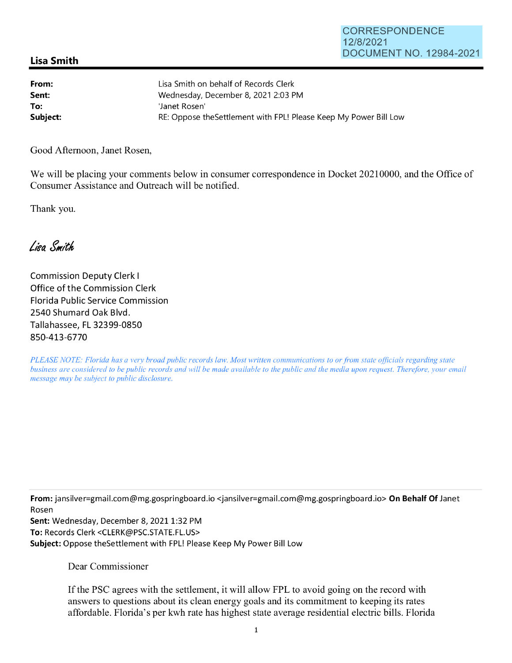## CORRESPONDENCE 12/8/2021 DOCUMENT NO. 12984-2021

## **Lisa Smith**

| From:    | Lisa Smith on behalf of Records Clerk                             |
|----------|-------------------------------------------------------------------|
| Sent:    | Wednesday, December 8, 2021 2:03 PM                               |
| To:      | 'Janet Rosen'                                                     |
| Subject: | RE: Oppose the Settlement with FPL! Please Keep My Power Bill Low |

Good Afternoon, Janet Rosen,

We will be placing your comments below in consumer correspondence in Docket 20210000, and the Office of Consumer Assistance and Outreach will be notified.

Thank you.

Lisa Smith

Commission Deputy Clerk I Office of the Commission Clerk Florida Public Service Commission 2540 Shumard Oak Blvd. Tallahassee, FL 32399-0850 850-413-6770

*PLEASE NOTE: Florida has a very broad public records law. Most written communications to or from state officials regarding state business are considered to be public records and will be made available to the public and the media upon request. Therefore, your email message may be subject to public disclosure.* 

**From:** jansilver=gmail.com@mg.gospringboard.io <jansilver=gmail.com@mg.gospringboard.io> **On Behalf Of** Janet Rosen

Sent: Wednesday, December 8, 2021 1:32 PM **To:** Records Clerk <CLERK@PSC.STATE.FL.US> **Subject:** Oppose theSettlement with FPL! Please Keep My Power Bill Low

Dear Commissioner

If the PSC agrees with the settlement, it will allow FPL to avoid going on the record with answers to questions about its clean energy goals and its commitment to keeping its rates affordable. Florida's per kwh rate has highest state average residential electric bills. Florida